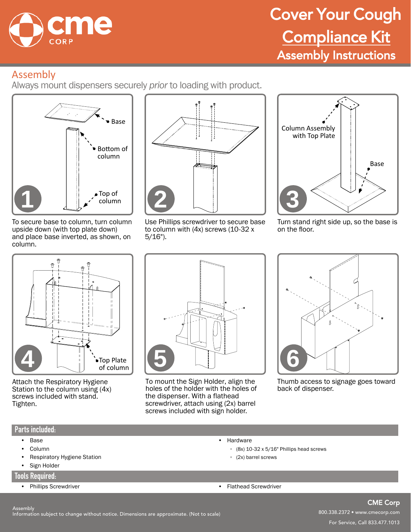

# Cover Your Cough Compliance Kit Assembly Instructions

## Assembly

Always mount dispensers securely *prior* to loading with product.



To secure base to column, turn column upside down (with top plate down) and place base inverted, as shown, on column.



Use Phillips screwdriver to secure base to column with (4x) screws (10-32 x 5/16").



Turn stand right side up, so the base is on the floor.



Attach the Respiratory Hygiene Station to the column using (4x) screws included with stand. Tighten.



To mount the Sign Holder, align the holes of the holder with the holes of the dispenser. With a flathead screwdriver, attach using (2x) barrel screws included with sign holder.



Thumb access to signage goes toward back of dispenser.

#### **Parts included:**

- Base
- Column
- Respiratory Hygiene Station
- Sign Holder

#### **Tools Required:**

- Phillips Screwdriver Flathead Screwdriver Flathead Screwdriver
- (2x) barrel screws

• Hardware

◦ (8x) 10-32 x 5/16" Phillips head screws

CME Corp 800.338.2372 • www.cmecorp.com For Service, Call 833.477.1013